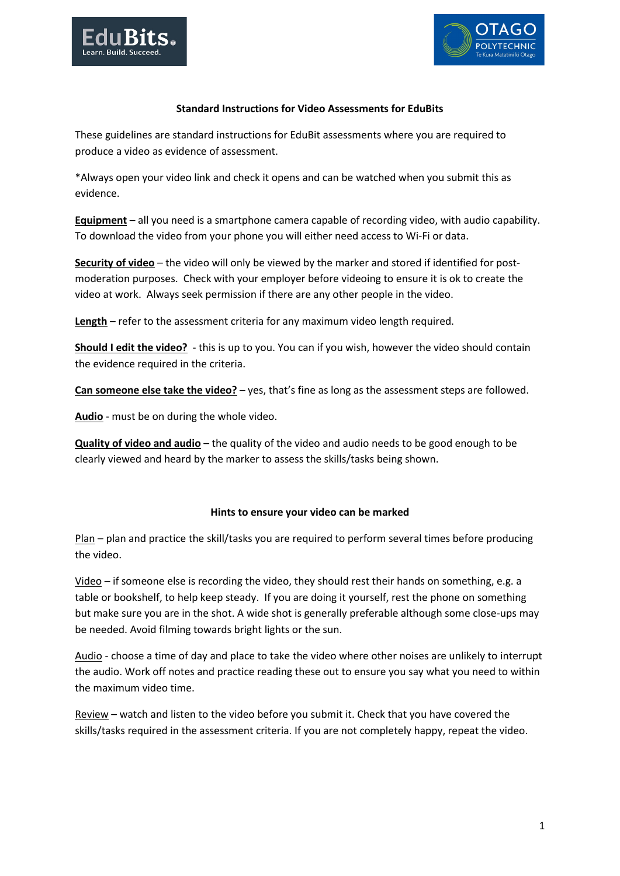



## **Standard Instructions for Video Assessments for EduBits**

These guidelines are standard instructions for EduBit assessments where you are required to produce a video as evidence of assessment.

\*Always open your video link and check it opens and can be watched when you submit this as evidence.

**Equipment** – all you need is a smartphone camera capable of recording video, with audio capability. To download the video from your phone you will either need access to Wi-Fi or data.

**Security of video** – the video will only be viewed by the marker and stored if identified for postmoderation purposes. Check with your employer before videoing to ensure it is ok to create the video at work. Always seek permission if there are any other people in the video.

**Length** – refer to the assessment criteria for any maximum video length required.

**Should I edit the video?** - this is up to you. You can if you wish, however the video should contain the evidence required in the criteria.

**Can someone else take the video?** – yes, that's fine as long as the assessment steps are followed.

**Audio** - must be on during the whole video.

**Quality of video and audio** – the quality of the video and audio needs to be good enough to be clearly viewed and heard by the marker to assess the skills/tasks being shown.

#### **Hints to ensure your video can be marked**

Plan – plan and practice the skill/tasks you are required to perform several times before producing the video.

Video – if someone else is recording the video, they should rest their hands on something, e.g. a table or bookshelf, to help keep steady. If you are doing it yourself, rest the phone on something but make sure you are in the shot. A wide shot is generally preferable although some close-ups may be needed. Avoid filming towards bright lights or the sun.

Audio - choose a time of day and place to take the video where other noises are unlikely to interrupt the audio. Work off notes and practice reading these out to ensure you say what you need to within the maximum video time.

Review – watch and listen to the video before you submit it. Check that you have covered the skills/tasks required in the assessment criteria. If you are not completely happy, repeat the video.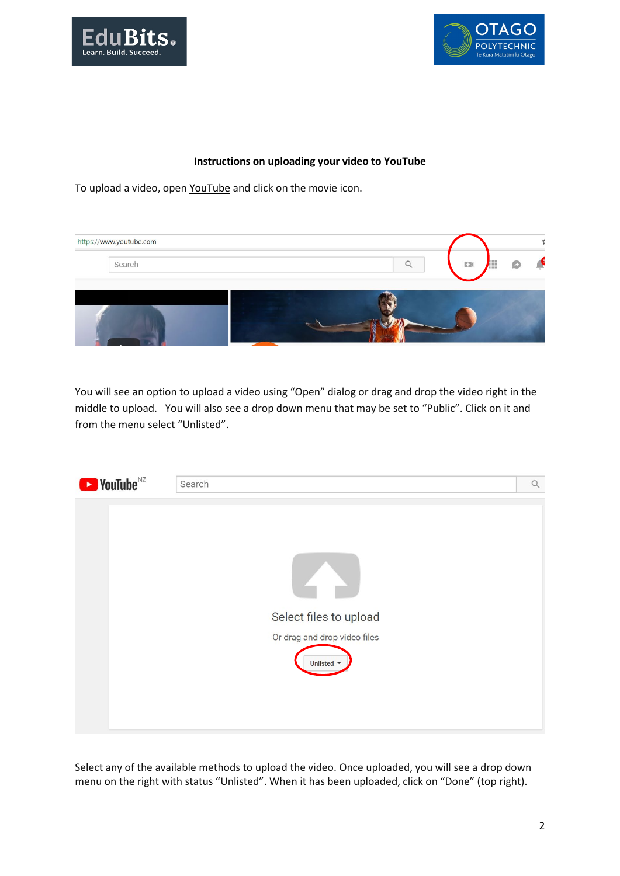



### **Instructions on uploading your video to YouTube**

To upload a video, open [YouTube](https://www.youtube.com/) and click on the movie icon.



You will see an option to upload a video using "Open" dialog or drag and drop the video right in the middle to upload. You will also see a drop down menu that may be set to "Public". Click on it and from the menu select "Unlisted".



Select any of the available methods to upload the video. Once uploaded, you will see a drop down menu on the right with status "Unlisted". When it has been uploaded, click on "Done" (top right).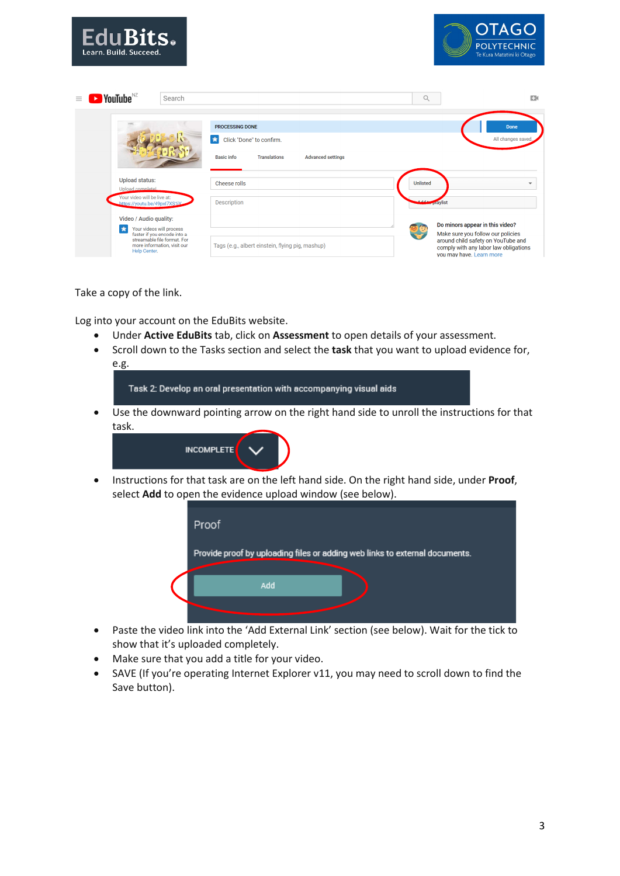| EduBits.<br>Learn. Build. Succeed.                                                                                                                                   |                                                                                                                     | <b>OTAGO</b><br><b>POLYTECHNIC</b><br>Te Kura Matatini ki Otago                                                                                                                 |
|----------------------------------------------------------------------------------------------------------------------------------------------------------------------|---------------------------------------------------------------------------------------------------------------------|---------------------------------------------------------------------------------------------------------------------------------------------------------------------------------|
| $\blacktriangleright$ YouTube $^{\text{NZ}}$<br>Search<br>$\equiv$                                                                                                   |                                                                                                                     | $\mathsf{Q}$<br>EX.                                                                                                                                                             |
|                                                                                                                                                                      | PROCESSING DONE<br>Click "Done" to confirm.<br><b>Basic info</b><br><b>Translations</b><br><b>Advanced settings</b> | Done<br>All changes saved.                                                                                                                                                      |
| <b>Upload status:</b><br>Upload complete!<br>Your video will be live at:<br>https://youtu.be/49pxl7XS1jV                                                             | Cheese rolls<br><b>Description</b>                                                                                  | <b>Unlisted</b><br>$\overline{\phantom{a}}$<br><b>praylist</b>                                                                                                                  |
| Video / Audio quality:<br>Your videos will process<br>×<br>faster if you encode into a<br>streamable file format. For<br>more information, visit our<br>Help Center. | Tags (e.g., albert einstein, flying pig, mashup)                                                                    | Do minors appear in this video?<br>Make sure you follow our policies<br>around child safety on YouTube and<br>comply with any labor law obligations<br>you may have. Learn more |

Take a copy of the link.

Log into your account on the EduBits website.

- Under **Active EduBits** tab, click on **Assessment** to open details of your assessment.
- Scroll down to the Tasks section and select the **task** that you want to upload evidence for, e.g.

Task 2: Develop an oral presentation with accompanying visual aids

• Use the downward pointing arrow on the right hand side to unroll the instructions for that task.



• Instructions for that task are on the left hand side. On the right hand side, under **Proof**, select **Add** to open the evidence upload window (see below).



- Paste the video link into the 'Add External Link' section (see below). Wait for the tick to show that it's uploaded completely.
- Make sure that you add a title for your video.
- SAVE (If you're operating Internet Explorer v11, you may need to scroll down to find the Save button).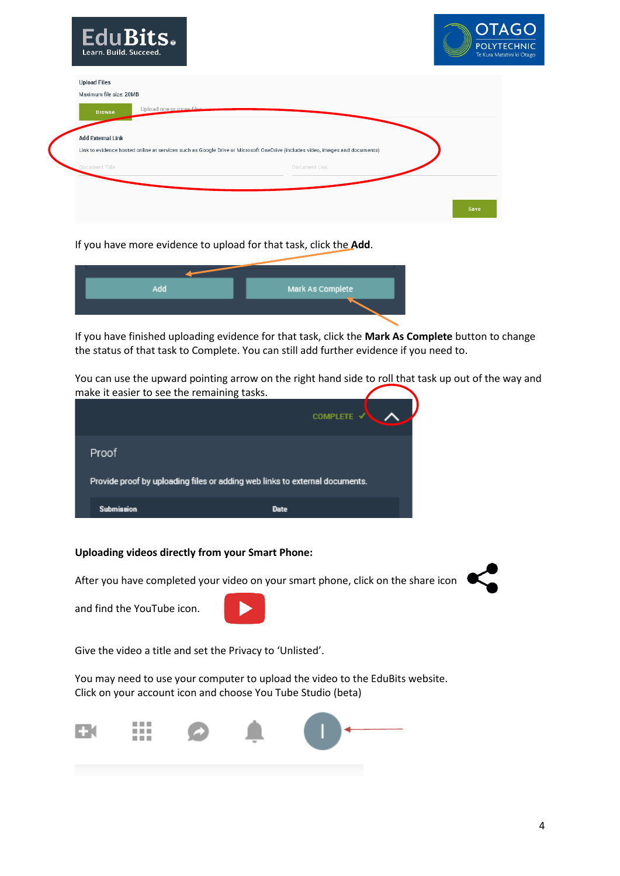| EduBits.<br>Learn. Build. Succeed.                                                                                           |               | <b>OTAG</b><br><b>POLYTECHI</b><br>Te Kura Matatini ki C |
|------------------------------------------------------------------------------------------------------------------------------|---------------|----------------------------------------------------------|
| <b>Upload Files</b>                                                                                                          |               |                                                          |
| Maximum file size: 20MB                                                                                                      |               |                                                          |
| Upload one or more files.<br><b>Browse</b>                                                                                   |               |                                                          |
| <b>Add External Link</b>                                                                                                     |               |                                                          |
| Link to evidence hosted online at services such as Google Drive or Microsoft OneDrive (includes video, images and documents) |               |                                                          |
| Document Title                                                                                                               | Document Link |                                                          |
|                                                                                                                              |               |                                                          |
|                                                                                                                              |               | <b>Save</b>                                              |

If you have more evidence to upload for that task, click the **Add**.

| Add | Mark As Complete |
|-----|------------------|
|     |                  |
|     |                  |

If you have finished uploading evidence for that task, click the **Mark As Complete** button to change the status of that task to Complete. You can still add further evidence if you need to.

You can use the upward pointing arrow on the right hand side to roll that task up out of the way and make it easier to see the remaining tasks.

|                                                                             | <b>COMPLETE √</b> |  |
|-----------------------------------------------------------------------------|-------------------|--|
| Proof                                                                       |                   |  |
| Provide proof by uploading files or adding web links to external documents. |                   |  |
| <b>Submission</b>                                                           | <b>Date</b>       |  |

# **Uploading videos directly from your Smart Phone:**

After you have completed your video on your smart phone, click on the share icon



and find the YouTube icon.



Give the video a title and set the Privacy to 'Unlisted'.

You may need to use your computer to upload the video to the EduBits website. Click on your account icon and choose You Tube Studio (beta)